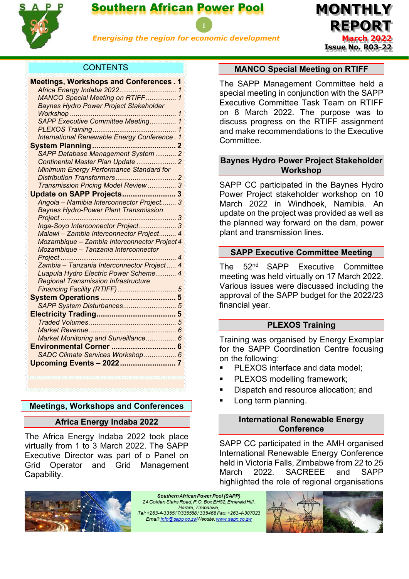

# Southern African Power Pool

*Energising the region for economic development*



## **CONTENTS**

| <b>Meetings, Workshops and Conferences . 1</b> |              |
|------------------------------------------------|--------------|
|                                                |              |
| MANCO Special Meeting on RTIFF 1               |              |
| Baynes Hydro Power Project Stakeholder         |              |
|                                                | $\mathbf{1}$ |
|                                                |              |
|                                                | 1            |
| International Renewable Energy Conference. 1   |              |
|                                                |              |
| SAPP Database Management System  2             |              |
| Continental Master Plan Update  2              |              |
| Minimum Energy Performance Standard for        |              |
|                                                |              |
| Transmission Pricing Model Review  3           |              |
| Update on SAPP Projects 3                      |              |
| Angola - Namibia Interconnector Project 3      |              |
| <b>Baynes Hydro-Power Plant Transmission</b>   |              |
|                                                |              |
| Inga-Soyo Interconnector Project 3             |              |
| Malawi - Zambia Interconnector Project 4       |              |
| Mozambique - Zambia Interconnector Project 4   |              |
| Mozambique - Tanzania Interconnector           |              |
|                                                |              |
| Zambia - Tanzania Interconnector Project 4     |              |
| Luapula Hydro Electric Power Scheme 4          |              |
| <b>Regional Transmission Infrastructure</b>    |              |
|                                                |              |
|                                                |              |
| SAPP System Disturbances 5                     |              |
|                                                |              |
|                                                |              |
|                                                |              |
| Market Monitoring and Surveillance 6           |              |
|                                                |              |
| SADC Climate Services Workshop 6               |              |
|                                                |              |
|                                                |              |
|                                                |              |

#### <span id="page-0-1"></span><span id="page-0-0"></span>**Meetings, Workshops and Conferences**

#### **Africa Energy Indaba 2022**

The Africa Energy Indaba 2022 took place virtually from 1 to 3 March 2022. The SAPP Executive Director was part of o Panel on Grid Operator and Grid Management Capability.

## <span id="page-0-2"></span>**MANCO Special Meeting on RTIFF**

The SAPP Management Committee held a special meeting in conjunction with the SAPP Executive Committee Task Team on RTIFF on 8 March 2022. The purpose was to discuss progress on the RTIFF assignment and make recommendations to the Executive Committee.

## <span id="page-0-3"></span>**Baynes Hydro Power Project Stakeholder Workshop**

SAPP CC participated in the Baynes Hydro Power Project stakeholder workshop on 10 March 2022 in Windhoek, Namibia. An update on the project was provided as well as the planned way forward on the dam, power plant and transmission lines.

## <span id="page-0-4"></span>**SAPP Executive Committee Meeting**

The 52nd SAPP Executive Committee meeting was held virtually on 17 March 2022. Various issues were discussed including the approval of the SAPP budget for the 2022/23 financial year.

#### **PLEXOS Training**

<span id="page-0-5"></span>Training was organised by Energy Exemplar for the SAPP Coordination Centre focusing on the following:

- **PLEXOS interface and data model:**
- PLEXOS modelling framework;
- Dispatch and resource allocation; and
- <span id="page-0-6"></span>Long term planning.

## **International Renewable Energy Conference**

SAPP CC participated in the AMH organised International Renewable Energy Conference held in Victoria Falls, Zimbabwe from 22 to 25 March 2022. SACREEE and SAPP highlighted the role of regional organisations



Southern African Power Pool (SAPP) 24 Golden Stairs Road, P.O. Box EH52, Emerald Hill. Harare, Zimbabwe, Tel: +263-4-335517/335558/335468 Fax: +263-4-307023 Email: info@sapp.co.zwWebsite: www.sapp.co.zw

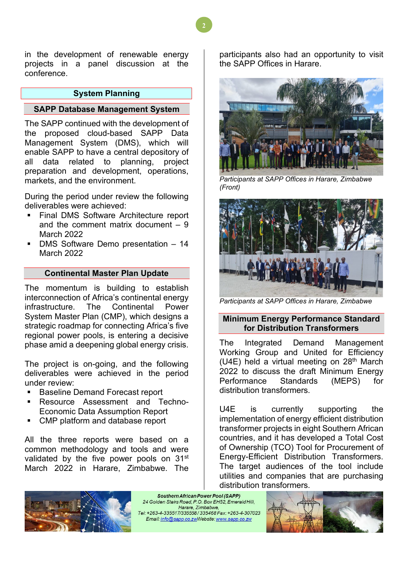in the development of renewable energy projects in a panel discussion at the conference.

#### **System Planning**

## <span id="page-1-1"></span><span id="page-1-0"></span>**SAPP Database Management System**

The SAPP continued with the development of the proposed cloud-based SAPP Data Management System (DMS), which will enable SAPP to have a central depository of all data related to planning, project preparation and development, operations, markets, and the environment.

During the period under review the following deliverables were achieved:

- Final DMS Software Architecture report and the comment matrix document  $-9$ March 2022
- DMS Software Demo presentation 14 March 2022

#### **Continental Master Plan Update**

<span id="page-1-2"></span>The momentum is building to establish interconnection of Africa's continental energy infrastructure. The Continental Power System Master Plan (CMP), which designs a strategic roadmap for connecting Africa's five regional power pools, is entering a decisive phase amid a deepening global energy crisis.

The project is on-going, and the following deliverables were achieved in the period under review:

- Baseline Demand Forecast report
- Resource Assessment and Techno-Economic Data Assumption Report
- CMP platform and database report

All the three reports were based on a common methodology and tools and were validated by the five power pools on 31<sup>st</sup> March 2022 in Harare, Zimbabwe. The participants also had an opportunity to visit the SAPP Offices in Harare.



*Participants at SAPP Offices in Harare, Zimbabwe (Front)*



*Participants at SAPP Offices in Harare, Zimbabwe*

#### <span id="page-1-3"></span>**Minimum Energy Performance Standard for Distribution Transformers**

The Integrated Demand Management Working Group and United for Efficiency (U4E) held a virtual meeting on  $28<sup>th</sup>$  March 2022 to discuss the draft Minimum Energy Performance Standards (MEPS) for distribution transformers.

U4E is currently supporting the implementation of energy efficient distribution transformer projects in eight Southern African countries, and it has developed a Total Cost of Ownership (TCO) Tool for Procurement of Energy-Efficient Distribution Transformers. The target audiences of the tool include utilities and companies that are purchasing distribution transformers.



Southern African Power Pool (SAPP) 24 Golden Stairs Road, P.O. Box EH52, Emerald Hill, Harare, Zimbabwe, Tel: +263-4-335517/335558 / 335468 Fax: +263-4-307023 Email: info@sapp.co.zwWebsite: www.sapp.co.zw

**2**

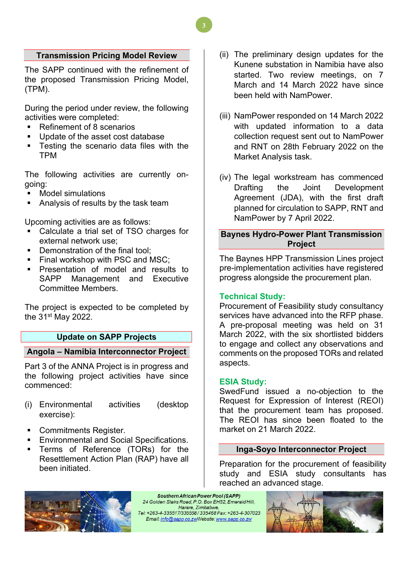## <span id="page-2-0"></span>**Transmission Pricing Model Review**

The SAPP continued with the refinement of the proposed Transmission Pricing Model, (TPM).

During the period under review, the following activities were completed:

- Refinement of 8 scenarios
- Update of the asset cost database
- Testing the scenario data files with the TPM

The following activities are currently ongoing:

- **Model simulations**
- Analysis of results by the task team

Upcoming activities are as follows:

- Calculate a trial set of TSO charges for external network use;
- **Demonstration of the final tool:**
- **Final workshop with PSC and MSC:**
- **Presentation of model and results to** SAPP Management and Executive Committee Members.

The project is expected to be completed by the 31st May 2022.

## **Update on SAPP Projects**

#### <span id="page-2-2"></span><span id="page-2-1"></span>**Angola – Namibia Interconnector Project**

Part 3 of the ANNA Project is in progress and the following project activities have since commenced:

- (i) Environmental activities (desktop exercise):
- **Commitments Register.**
- **Environmental and Social Specifications.**
- **Terms of Reference (TORs) for the** Resettlement Action Plan (RAP) have all been initiated.
- (ii) The preliminary design updates for the Kunene substation in Namibia have also started. Two review meetings, on 7 March and 14 March 2022 have since been held with NamPower.
- (iii) NamPower responded on 14 March 2022 with updated information to a data collection request sent out to NamPower and RNT on 28th February 2022 on the Market Analysis task.
- (iv) The legal workstream has commenced Drafting the Joint Development Agreement (JDA), with the first draft planned for circulation to SAPP, RNT and NamPower by 7 April 2022.

## <span id="page-2-3"></span>**Baynes Hydro-Power Plant Transmission Project**

The Baynes HPP Transmission Lines project pre-implementation activities have registered progress alongside the procurement plan.

#### **Technical Study:**

Procurement of Feasibility study consultancy services have advanced into the RFP phase. A pre-proposal meeting was held on 31 March 2022, with the six shortlisted bidders to engage and collect any observations and comments on the proposed TORs and related aspects.

#### **ESIA Study:**

SwedFund issued a no-objection to the Request for Expression of Interest (REOI) that the procurement team has proposed. The REOI has since been floated to the market on 21 March 2022

#### **Inga-Soyo Interconnector Project**

<span id="page-2-4"></span>Preparation for the procurement of feasibility study and ESIA study consultants has reached an advanced stage.



Southern African Power Pool (SAPP) 24 Golden Stairs Road, P.O. Box EH52, Emerald Hill, Harare, Zimbabwe, Tel: +263-4-335517/335558/335468 Fax: +263-4-307023 Email: info@sapp.co.zwWebsite: www.sapp.co.zw

**3**

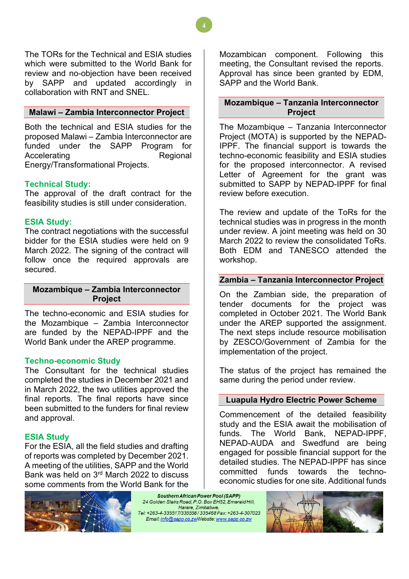The TORs for the Technical and ESIA studies which were submitted to the World Bank for review and no-objection have been received by SAPP and updated accordingly in collaboration with RNT and SNEL.

## <span id="page-3-0"></span>**Malawi – Zambia Interconnector Project**

Both the technical and ESIA studies for the proposed Malawi – Zambia Interconnector are funded under the SAPP Program for Accelerating Regional Energy/Transformational Projects.

## **Technical Study:**

The approval of the draft contract for the feasibility studies is still under consideration.

## **ESIA Study:**

The contract negotiations with the successful bidder for the ESIA studies were held on 9 March 2022. The signing of the contract will follow once the required approvals are secured.

```
Mozambique – Zambia Interconnector 
  Project
```
The techno-economic and ESIA studies for the Mozambique – Zambia Interconnector are funded by the NEPAD-IPPF and the World Bank under the AREP programme.

#### **Techno-economic Study**

The Consultant for the technical studies completed the studies in December 2021 and in March 2022, the two utilities approved the final reports. The final reports have since been submitted to the funders for final review and approval.

## **ESIA Study**

For the ESIA, all the field studies and drafting of reports was completed by December 2021. A meeting of the utilities, SAPP and the World Bank was held on 3rd March 2022 to discuss some comments from the World Bank for the



Southern African Power Pool (SAPP) 24 Golden Stairs Road, P.O. Box EH52, Emerald Hill. Harare, Zimbabwe, Tel: +263-4-335517/335558/335468 Fax: +263-4-307023 Email: info@sapp.co.zwWebsite: www.sapp.co.zw

Mozambican component. Following this meeting, the Consultant revised the reports. Approval has since been granted by EDM, SAPP and the World Bank.

## <span id="page-3-2"></span>**Mozambique – Tanzania Interconnector Project**

The Mozambique – Tanzania Interconnector Project (MOTA) is supported by the NEPAD-IPPF. The financial support is towards the techno-economic feasibility and ESIA studies for the proposed interconnector. A revised Letter of Agreement for the grant was submitted to SAPP by NEPAD-IPPF for final review before execution.

The review and update of the ToRs for the technical studies was in progress in the month under review. A joint meeting was held on 30 March 2022 to review the consolidated ToRs. Both EDM and TANESCO attended the workshop.

## <span id="page-3-3"></span>**Zambia – Tanzania Interconnector Project**

On the Zambian side, the preparation of tender documents for the project was completed in October 2021. The World Bank under the AREP supported the assignment. The next steps include resource mobilisation by ZESCO/Government of Zambia for the implementation of the project.

The status of the project has remained the same during the period under review.

## <span id="page-3-4"></span>**Luapula Hydro Electric Power Scheme**

Commencement of the detailed feasibility study and the ESIA await the mobilisation of funds. The World Bank, NEPAD-IPPF, NEPAD-AUDA and Swedfund are being engaged for possible financial support for the detailed studies. The NEPAD-IPPF has since committed funds towards the technoeconomic studies for one site. Additional funds



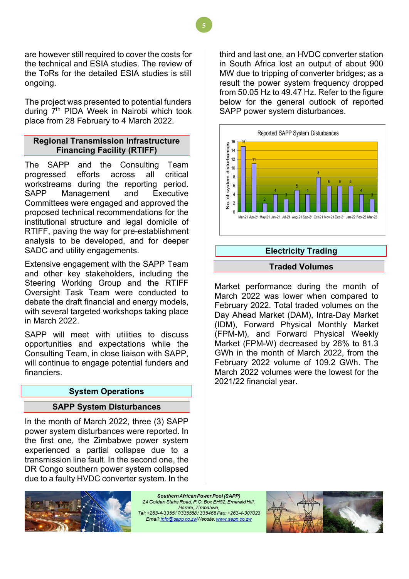are however still required to cover the costs for the technical and ESIA studies. The review of the ToRs for the detailed ESIA studies is still ongoing.

The project was presented to potential funders during 7<sup>th</sup> PIDA Week in Nairobi which took place from 28 February to 4 March 2022.

## <span id="page-4-0"></span>**Regional Transmission Infrastructure Financing Facility (RTIFF)**

The SAPP and the Consulting Team progressed efforts across all critical workstreams during the reporting period. SAPP Management and Executive Committees were engaged and approved the proposed technical recommendations for the institutional structure and legal domicile of RTIFF, paving the way for pre-establishment analysis to be developed, and for deeper SADC and utility engagements.

Extensive engagement with the SAPP Team and other key stakeholders, including the Steering Working Group and the RTIFF Oversight Task Team were conducted to debate the draft financial and energy models, with several targeted workshops taking place in March 2022.

SAPP will meet with utilities to discuss opportunities and expectations while the Consulting Team, in close liaison with SAPP, will continue to engage potential funders and financiers.

#### **System Operations**

## <span id="page-4-1"></span>**SAPP System Disturbances**

<span id="page-4-2"></span>In the month of March 2022, three (3) SAPP power system disturbances were reported. In the first one, the Zimbabwe power system experienced a partial collapse due to a transmission line fault. In the second one, the DR Congo southern power system collapsed due to a faulty HVDC converter system. In the third and last one, an HVDC converter station in South Africa lost an output of about 900 MW due to tripping of converter bridges; as a result the power system frequency dropped from 50.05 Hz to 49.47 Hz. Refer to the figure below for the general outlook of reported SAPP power system disturbances.



## **Electricity Trading**

#### **Traded Volumes**

<span id="page-4-4"></span><span id="page-4-3"></span>Market performance during the month of March 2022 was lower when compared to February 2022. Total traded volumes on the Day Ahead Market (DAM), Intra-Day Market (IDM), Forward Physical Monthly Market (FPM-M), and Forward Physical Weekly Market (FPM-W) decreased by 26% to 81.3 GWh in the month of March 2022, from the February 2022 volume of 109.2 GWh. The March 2022 volumes were the lowest for the 2021/22 financial year.



Southern African Power Pool (SAPP) 24 Golden Stairs Road, P.O. Box EH52, Emerald Hill. Harare, Zimbabwe, Tel: +263-4-335517/335558/335468 Fax: +263-4-307023 Email: info@sapp.co.zwWebsite: www.sapp.co.zw



**5**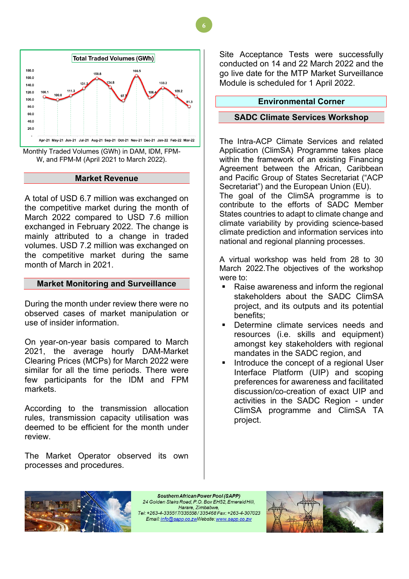





#### **Market Revenue**

<span id="page-5-0"></span>A total of USD 6.7 million was exchanged on the competitive market during the month of March 2022 compared to USD 7.6 million exchanged in February 2022. The change is mainly attributed to a change in traded volumes. USD 7.2 million was exchanged on the competitive market during the same month of March in 2021.

#### <span id="page-5-1"></span>**Market Monitoring and Surveillance**

During the month under review there were no observed cases of market manipulation or use of insider information.

On year-on-year basis compared to March 2021, the average hourly DAM-Market Clearing Prices (MCPs) for March 2022 were similar for all the time periods. There were few participants for the IDM and FPM markets.

According to the transmission allocation rules, transmission capacity utilisation was deemed to be efficient for the month under review.

The Market Operator observed its own processes and procedures.

Site Acceptance Tests were successfully conducted on 14 and 22 March 2022 and the go live date for the MTP Market Surveillance Module is scheduled for 1 April 2022.

## **Environmental Corner**

## <span id="page-5-3"></span><span id="page-5-2"></span>**SADC Climate Services Workshop**

The Intra-ACP Climate Services and related Application (ClimSA) Programme takes place within the framework of an existing Financing Agreement between the African, Caribbean and Pacific Group of States Secretariat ("ACP Secretariat") and the European Union (EU).

The goal of the ClimSA programme is to contribute to the efforts of SADC Member States countries to adapt to climate change and climate variability by providing science-based climate prediction and information services into national and regional planning processes.

A virtual workshop was held from 28 to 30 March 2022.The objectives of the workshop were to:

- Raise awareness and inform the regional stakeholders about the SADC ClimSA project, and its outputs and its potential benefits;
- Determine climate services needs and resources (i.e. skills and equipment) amongst key stakeholders with regional mandates in the SADC region, and
- Introduce the concept of a regional User Interface Platform (UIP) and scoping preferences for awareness and facilitated discussion/co-creation of exact UIP and activities in the SADC Region - under ClimSA programme and ClimSA TA project.



Southern African Power Pool (SAPP) 24 Golden Stairs Road, P.O. Box EH52, Emerald Hill. Harare, Zimbabwe, Tel: +263-4-335517/335558 / 335468 Fax: +263-4-307023 Email: info@sapp.co.zwWebsite: www.sapp.co.zw